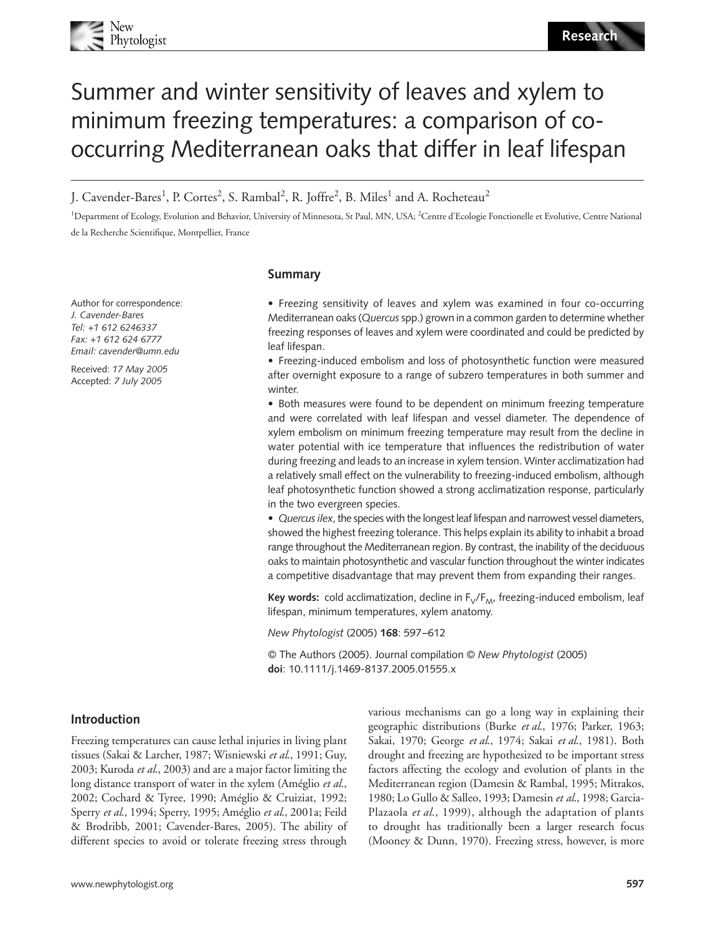# Summer and winter sensitivity of leaves and xylem to minimum freezing temperatures: a comparison of cooccurring Mediterranean oaks that differ in leaf lifespan

J. Cavender-Bares<sup>1</sup>, P. Cortes<sup>2</sup>, S. Rambal<sup>2</sup>, R. Joffre<sup>2</sup>, B. Miles<sup>1</sup> and A. Rocheteau<sup>2</sup>

<sup>1</sup>Department of Ecology, Evolution and Behavior, University of Minnesota, St Paul, MN, USA; <sup>2</sup>Centre d'Ecologie Fonctionelle et Evolutive, Centre National de la Recherche Scientifique, Montpellier, France

Author for correspondence: *J. Cavender-Bares Tel: +1 612 6246337 Fax: +1 612 624 6777 Email: cavender@umn.edu*

Received: *17 May 2005* Accepted: *7 July 2005*

### **Summary**

• Freezing sensitivity of leaves and xylem was examined in four co-occurring Mediterranean oaks (*Quercus*spp.) grown in a common garden to determine whether freezing responses of leaves and xylem were coordinated and could be predicted by leaf lifespan.

• Freezing-induced embolism and loss of photosynthetic function were measured after overnight exposure to a range of subzero temperatures in both summer and winter.

• Both measures were found to be dependent on minimum freezing temperature and were correlated with leaf lifespan and vessel diameter. The dependence of xylem embolism on minimum freezing temperature may result from the decline in water potential with ice temperature that influences the redistribution of water during freezing and leads to an increase in xylem tension. Winter acclimatization had a relatively small effect on the vulnerability to freezing-induced embolism, although leaf photosynthetic function showed a strong acclimatization response, particularly in the two evergreen species.

• *Quercus ilex*, the species with the longest leaf lifespan and narrowest vessel diameters, showed the highest freezing tolerance. This helps explain its ability to inhabit a broad range throughout the Mediterranean region. By contrast, the inability of the deciduous oaks to maintain photosynthetic and vascular function throughout the winter indicates a competitive disadvantage that may prevent them from expanding their ranges.

Key words: cold acclimatization, decline in F<sub>V</sub>/F<sub>M</sub>, freezing-induced embolism, leaf lifespan, minimum temperatures, xylem anatomy.

*New Phytologist* (2005) **168**: 597–612

© The Authors (2005). Journal compilation © *New Phytologist* (2005) **doi**: 10.1111/j.1469-8137.2005.01555.x

# **Introduction**

Freezing temperatures can cause lethal injuries in living plant tissues (Sakai & Larcher, 1987; Wisniewski *et al*., 1991; Guy, 2003; Kuroda *et al*., 2003) and are a major factor limiting the long distance transport of water in the xylem (Améglio *et al*., 2002; Cochard & Tyree, 1990; Améglio & Cruiziat, 1992; Sperry *et al*., 1994; Sperry, 1995; Améglio *et al*., 2001a; Feild & Brodribb, 2001; Cavender-Bares, 2005). The ability of different species to avoid or tolerate freezing stress through

various mechanisms can go a long way in explaining their geographic distributions (Burke *et al*., 1976; Parker, 1963; Sakai, 1970; George *et al*., 1974; Sakai *et al*., 1981). Both drought and freezing are hypothesized to be important stress factors affecting the ecology and evolution of plants in the Mediterranean region (Damesin & Rambal, 1995; Mitrakos, 1980; Lo Gullo & Salleo, 1993; Damesin *et al*., 1998; Garcia-Plazaola *et al*., 1999), although the adaptation of plants to drought has traditionally been a larger research focus (Mooney & Dunn, 1970). Freezing stress, however, is more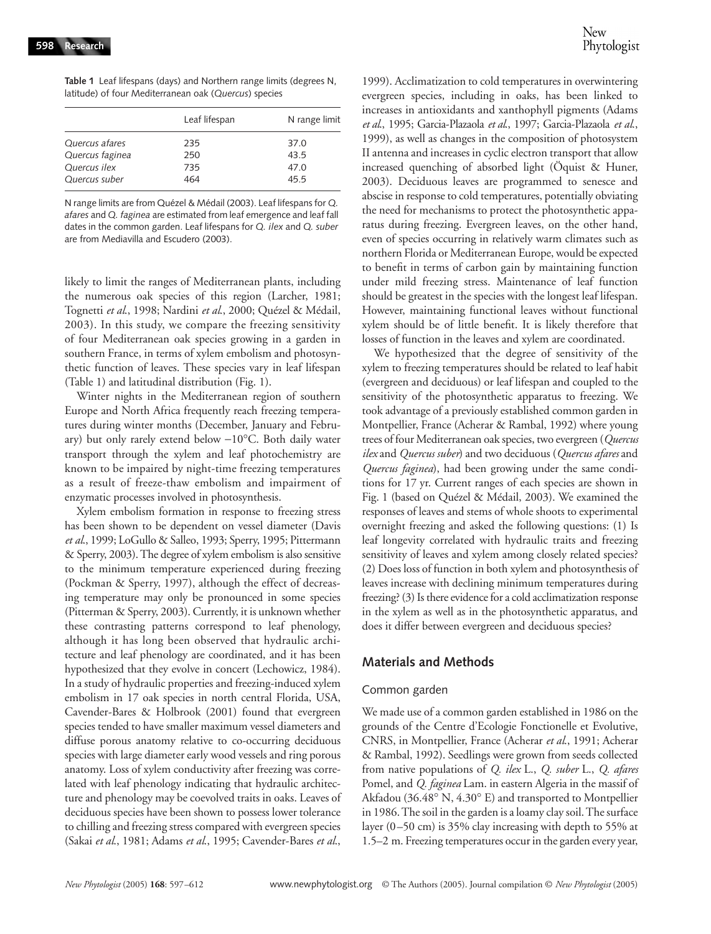**Table 1** Leaf lifespans (days) and Northern range limits (degrees N, latitude) of four Mediterranean oak (*Quercus*) species

|                 | Leaf lifespan | N range limit |  |  |
|-----------------|---------------|---------------|--|--|
| Quercus afares  | 235           | 37.0          |  |  |
| Quercus faginea | 250           | 43.5          |  |  |
| Quercus ilex    | 735           | 47.0          |  |  |
| Quercus suber   | 464           | 45.5          |  |  |

N range limits are from Quézel & Médail (2003). Leaf lifespans for *Q. afares* and *Q. faginea* are estimated from leaf emergence and leaf fall dates in the common garden. Leaf lifespans for *Q. ilex* and *Q. suber* are from Mediavilla and Escudero (2003).

likely to limit the ranges of Mediterranean plants, including the numerous oak species of this region (Larcher, 1981; Tognetti *et al*., 1998; Nardini *et al*., 2000; Quézel & Médail, 2003). In this study, we compare the freezing sensitivity of four Mediterranean oak species growing in a garden in southern France, in terms of xylem embolism and photosynthetic function of leaves. These species vary in leaf lifespan (Table 1) and latitudinal distribution (Fig. 1).

Winter nights in the Mediterranean region of southern Europe and North Africa frequently reach freezing temperatures during winter months (December, January and February) but only rarely extend below −10°C. Both daily water transport through the xylem and leaf photochemistry are known to be impaired by night-time freezing temperatures as a result of freeze-thaw embolism and impairment of enzymatic processes involved in photosynthesis.

Xylem embolism formation in response to freezing stress has been shown to be dependent on vessel diameter (Davis *et al*., 1999; LoGullo & Salleo, 1993; Sperry, 1995; Pittermann & Sperry, 2003). The degree of xylem embolism is also sensitive to the minimum temperature experienced during freezing (Pockman & Sperry, 1997), although the effect of decreasing temperature may only be pronounced in some species (Pitterman & Sperry, 2003). Currently, it is unknown whether these contrasting patterns correspond to leaf phenology, although it has long been observed that hydraulic architecture and leaf phenology are coordinated, and it has been hypothesized that they evolve in concert (Lechowicz, 1984). In a study of hydraulic properties and freezing-induced xylem embolism in 17 oak species in north central Florida, USA, Cavender-Bares & Holbrook (2001) found that evergreen species tended to have smaller maximum vessel diameters and diffuse porous anatomy relative to co-occurring deciduous species with large diameter early wood vessels and ring porous anatomy. Loss of xylem conductivity after freezing was correlated with leaf phenology indicating that hydraulic architecture and phenology may be coevolved traits in oaks. Leaves of deciduous species have been shown to possess lower tolerance to chilling and freezing stress compared with evergreen species (Sakai *et al*., 1981; Adams *et al*., 1995; Cavender-Bares *et al*.,

1999). Acclimatization to cold temperatures in overwintering evergreen species, including in oaks, has been linked to increases in antioxidants and xanthophyll pigments (Adams *et al*., 1995; Garcia-Plazaola *et al*., 1997; Garcia-Plazaola *et al*., 1999), as well as changes in the composition of photosystem II antenna and increases in cyclic electron transport that allow increased quenching of absorbed light (Öquist & Huner, 2003). Deciduous leaves are programmed to senesce and abscise in response to cold temperatures, potentially obviating the need for mechanisms to protect the photosynthetic apparatus during freezing. Evergreen leaves, on the other hand, even of species occurring in relatively warm climates such as northern Florida or Mediterranean Europe, would be expected to benefit in terms of carbon gain by maintaining function under mild freezing stress. Maintenance of leaf function should be greatest in the species with the longest leaf lifespan. However, maintaining functional leaves without functional xylem should be of little benefit. It is likely therefore that losses of function in the leaves and xylem are coordinated.

We hypothesized that the degree of sensitivity of the xylem to freezing temperatures should be related to leaf habit (evergreen and deciduous) or leaf lifespan and coupled to the sensitivity of the photosynthetic apparatus to freezing. We took advantage of a previously established common garden in Montpellier, France (Acherar & Rambal, 1992) where young trees of four Mediterranean oak species, two evergreen (*Quercus ilex* and *Quercus suber*) and two deciduous (*Quercus afares* and *Quercus faginea*), had been growing under the same conditions for 17 yr. Current ranges of each species are shown in Fig. 1 (based on Quézel & Médail, 2003). We examined the responses of leaves and stems of whole shoots to experimental overnight freezing and asked the following questions: (1) Is leaf longevity correlated with hydraulic traits and freezing sensitivity of leaves and xylem among closely related species? (2) Does loss of function in both xylem and photosynthesis of leaves increase with declining minimum temperatures during freezing? (3) Is there evidence for a cold acclimatization response in the xylem as well as in the photosynthetic apparatus, and does it differ between evergreen and deciduous species?

# **Materials and Methods**

# Common garden

We made use of a common garden established in 1986 on the grounds of the Centre d'Ecologie Fonctionelle et Evolutive, CNRS, in Montpellier, France (Acherar *et al*., 1991; Acherar & Rambal, 1992). Seedlings were grown from seeds collected from native populations of *Q. ilex* L., *Q. suber* L., *Q. afares* Pomel, and *Q. faginea* Lam. in eastern Algeria in the massif of Akfadou (36.48° N, 4.30° E) and transported to Montpellier in 1986. The soil in the garden is a loamy clay soil. The surface layer (0–50 cm) is 35% clay increasing with depth to 55% at 1.5–2 m. Freezing temperatures occur in the garden every year,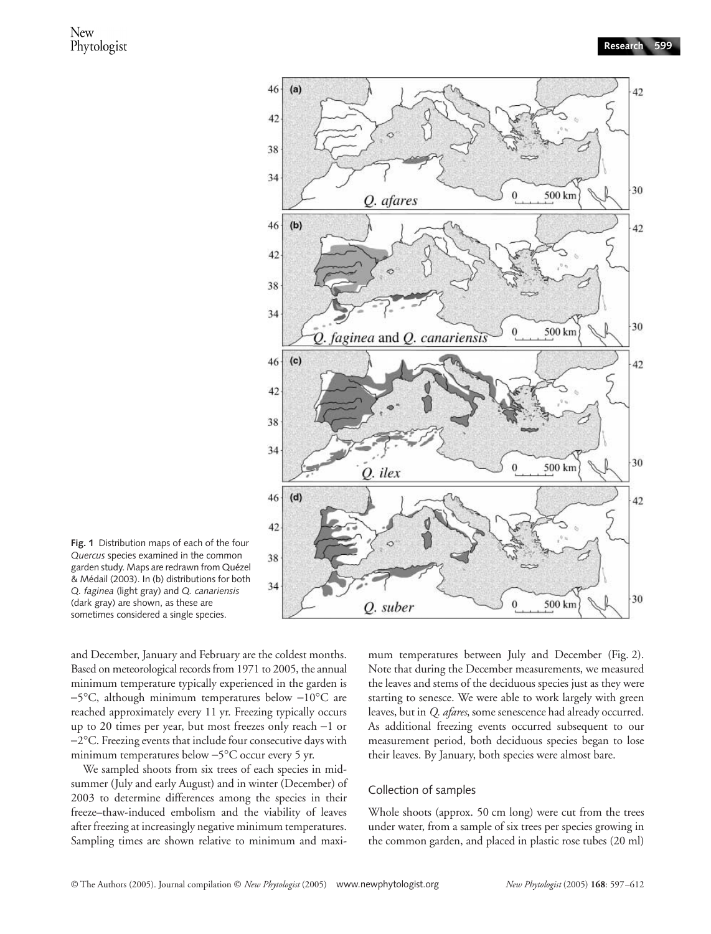

**Fig. 1** Distribution maps of each of the four *Quercus* species examined in the common garden study. Maps are redrawn from Quézel & Médail (2003). In (b) distributions for both *Q. faginea* (light gray) and *Q. canariensis* (dark gray) are shown, as these are sometimes considered a single species.

and December, January and February are the coldest months. Based on meteorological records from 1971 to 2005, the annual minimum temperature typically experienced in the garden is −5°C, although minimum temperatures below −10°C are reached approximately every 11 yr. Freezing typically occurs up to 20 times per year, but most freezes only reach −1 or −2°C. Freezing events that include four consecutive days with minimum temperatures below −5°C occur every 5 yr.

We sampled shoots from six trees of each species in midsummer (July and early August) and in winter (December) of 2003 to determine differences among the species in their freeze–thaw-induced embolism and the viability of leaves after freezing at increasingly negative minimum temperatures. Sampling times are shown relative to minimum and maxi-

mum temperatures between July and December (Fig. 2). Note that during the December measurements, we measured the leaves and stems of the deciduous species just as they were starting to senesce. We were able to work largely with green leaves, but in *Q. afares*, some senescence had already occurred. As additional freezing events occurred subsequent to our measurement period, both deciduous species began to lose their leaves. By January, both species were almost bare.

### Collection of samples

Whole shoots (approx. 50 cm long) were cut from the trees under water, from a sample of six trees per species growing in the common garden, and placed in plastic rose tubes (20 ml)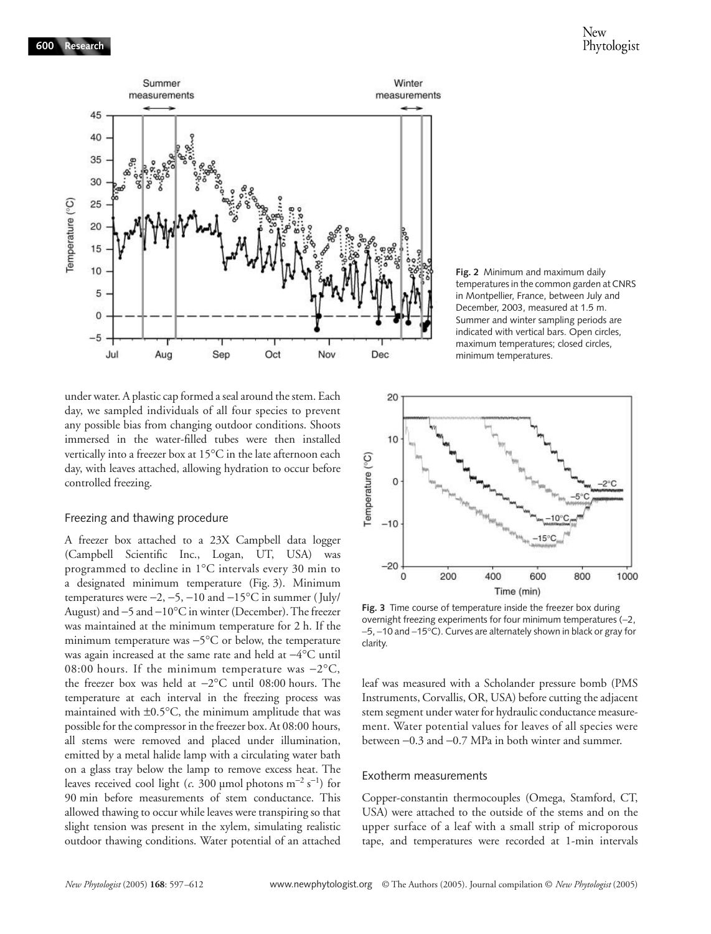

under water. A plastic cap formed a seal around the stem. Each day, we sampled individuals of all four species to prevent any possible bias from changing outdoor conditions. Shoots immersed in the water-filled tubes were then installed vertically into a freezer box at 15°C in the late afternoon each day, with leaves attached, allowing hydration to occur before controlled freezing.

### Freezing and thawing procedure

A freezer box attached to a 23X Campbell data logger (Campbell Scientific Inc., Logan, UT, USA) was programmed to decline in 1°C intervals every 30 min to a designated minimum temperature (Fig. 3). Minimum temperatures were  $-2$ ,  $-5$ ,  $-10$  and  $-15$ °C in summer (July/ August) and −5 and −10°C in winter (December). The freezer was maintained at the minimum temperature for 2 h. If the minimum temperature was −5°C or below, the temperature was again increased at the same rate and held at −4°C until 08:00 hours. If the minimum temperature was −2°C, the freezer box was held at −2°C until 08:00 hours. The temperature at each interval in the freezing process was maintained with ±0.5°C, the minimum amplitude that was possible for the compressor in the freezer box. At 08:00 hours, all stems were removed and placed under illumination, emitted by a metal halide lamp with a circulating water bath on a glass tray below the lamp to remove excess heat. The leaves received cool light (*c*. 300 µmol photons m<sup>−2</sup> s<sup>−1</sup>) for 90 min before measurements of stem conductance. This allowed thawing to occur while leaves were transpiring so that slight tension was present in the xylem, simulating realistic outdoor thawing conditions. Water potential of an attached

**Fig. 2** Minimum and maximum daily temperatures in the common garden at CNRS in Montpellier, France, between July and December, 2003, measured at 1.5 m. Summer and winter sampling periods are indicated with vertical bars. Open circles, maximum temperatures; closed circles, minimum temperatures.



**Fig. 3** Time course of temperature inside the freezer box during overnight freezing experiments for four minimum temperatures (−2, −5, −10 and −15°C). Curves are alternately shown in black or gray for clarity.

leaf was measured with a Scholander pressure bomb (PMS Instruments, Corvallis, OR, USA) before cutting the adjacent stem segment under water for hydraulic conductance measurement. Water potential values for leaves of all species were between −0.3 and −0.7 MPa in both winter and summer.

#### Exotherm measurements

Copper-constantin thermocouples (Omega, Stamford, CT, USA) were attached to the outside of the stems and on the upper surface of a leaf with a small strip of microporous tape, and temperatures were recorded at 1-min intervals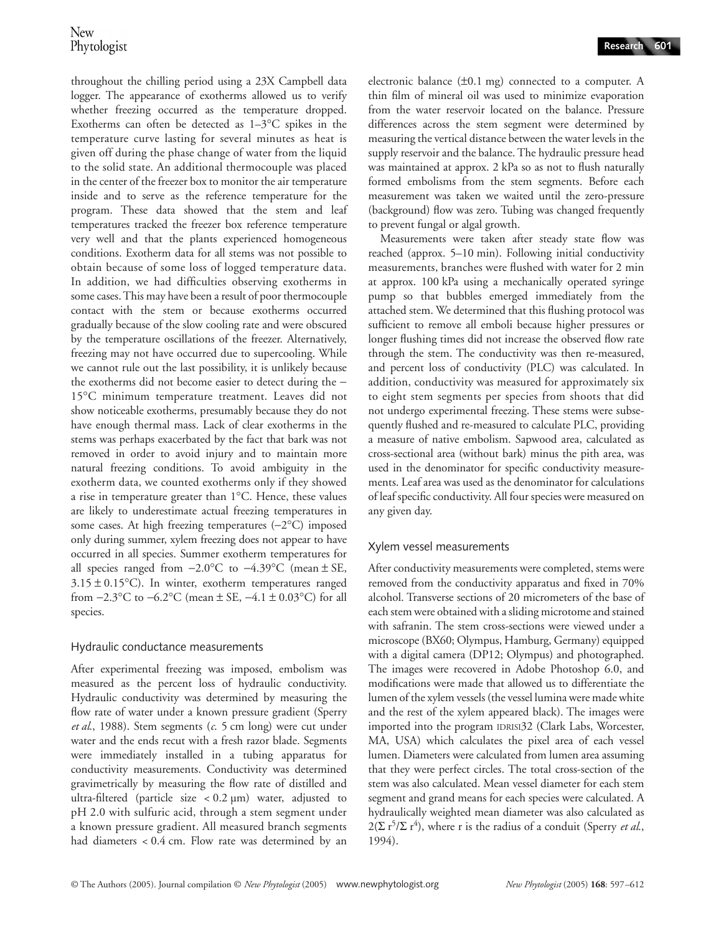throughout the chilling period using a 23X Campbell data logger. The appearance of exotherms allowed us to verify whether freezing occurred as the temperature dropped. Exotherms can often be detected as 1–3°C spikes in the temperature curve lasting for several minutes as heat is given off during the phase change of water from the liquid to the solid state. An additional thermocouple was placed in the center of the freezer box to monitor the air temperature inside and to serve as the reference temperature for the program. These data showed that the stem and leaf temperatures tracked the freezer box reference temperature very well and that the plants experienced homogeneous conditions. Exotherm data for all stems was not possible to obtain because of some loss of logged temperature data. In addition, we had difficulties observing exotherms in some cases. This may have been a result of poor thermocouple contact with the stem or because exotherms occurred gradually because of the slow cooling rate and were obscured by the temperature oscillations of the freezer. Alternatively, freezing may not have occurred due to supercooling. While we cannot rule out the last possibility, it is unlikely because the exotherms did not become easier to detect during the − 15°C minimum temperature treatment. Leaves did not show noticeable exotherms, presumably because they do not have enough thermal mass. Lack of clear exotherms in the stems was perhaps exacerbated by the fact that bark was not removed in order to avoid injury and to maintain more natural freezing conditions. To avoid ambiguity in the exotherm data, we counted exotherms only if they showed a rise in temperature greater than 1°C. Hence, these values are likely to underestimate actual freezing temperatures in some cases. At high freezing temperatures (−2°C) imposed only during summer, xylem freezing does not appear to have occurred in all species. Summer exotherm temperatures for all species ranged from −2.0°C to −4.39°C (mean ± SE,  $3.15 \pm 0.15$ °C). In winter, exotherm temperatures ranged from  $-2.3$ °C to  $-6.2$ °C (mean  $\pm$  SE,  $-4.1 \pm 0.03$ °C) for all species.

# Hydraulic conductance measurements

After experimental freezing was imposed, embolism was measured as the percent loss of hydraulic conductivity. Hydraulic conductivity was determined by measuring the flow rate of water under a known pressure gradient (Sperry *et al*., 1988). Stem segments (*c*. 5 cm long) were cut under water and the ends recut with a fresh razor blade. Segments were immediately installed in a tubing apparatus for conductivity measurements. Conductivity was determined gravimetrically by measuring the flow rate of distilled and ultra-filtered (particle size < 0.2 µm) water, adjusted to pH 2.0 with sulfuric acid, through a stem segment under a known pressure gradient. All measured branch segments had diameters < 0.4 cm. Flow rate was determined by an electronic balance  $(\pm 0.1 \text{ mg})$  connected to a computer. A thin film of mineral oil was used to minimize evaporation from the water reservoir located on the balance. Pressure differences across the stem segment were determined by measuring the vertical distance between the water levels in the supply reservoir and the balance. The hydraulic pressure head was maintained at approx. 2 kPa so as not to flush naturally formed embolisms from the stem segments. Before each measurement was taken we waited until the zero-pressure (background) flow was zero. Tubing was changed frequently to prevent fungal or algal growth.

Measurements were taken after steady state flow was reached (approx. 5–10 min). Following initial conductivity measurements, branches were flushed with water for 2 min at approx. 100 kPa using a mechanically operated syringe pump so that bubbles emerged immediately from the attached stem. We determined that this flushing protocol was sufficient to remove all emboli because higher pressures or longer flushing times did not increase the observed flow rate through the stem. The conductivity was then re-measured, and percent loss of conductivity (PLC) was calculated. In addition, conductivity was measured for approximately six to eight stem segments per species from shoots that did not undergo experimental freezing. These stems were subsequently flushed and re-measured to calculate PLC, providing a measure of native embolism. Sapwood area, calculated as cross-sectional area (without bark) minus the pith area, was used in the denominator for specific conductivity measurements. Leaf area was used as the denominator for calculations of leaf specific conductivity. All four species were measured on any given day.

# Xylem vessel measurements

After conductivity measurements were completed, stems were removed from the conductivity apparatus and fixed in 70% alcohol. Transverse sections of 20 micrometers of the base of each stem were obtained with a sliding microtome and stained with safranin. The stem cross-sections were viewed under a microscope (BX60; Olympus, Hamburg, Germany) equipped with a digital camera (DP12; Olympus) and photographed. The images were recovered in Adobe Photoshop 6.0, and modifications were made that allowed us to differentiate the lumen of the xylem vessels (the vessel lumina were made white and the rest of the xylem appeared black). The images were imported into the program IDRISI32 (Clark Labs, Worcester, MA, USA) which calculates the pixel area of each vessel lumen. Diameters were calculated from lumen area assuming that they were perfect circles. The total cross-section of the stem was also calculated. Mean vessel diameter for each stem segment and grand means for each species were calculated. A hydraulically weighted mean diameter was also calculated as  $2(\sum r^{5}/\sum r^{4})$ , where r is the radius of a conduit (Sperry *et al.*, 1994).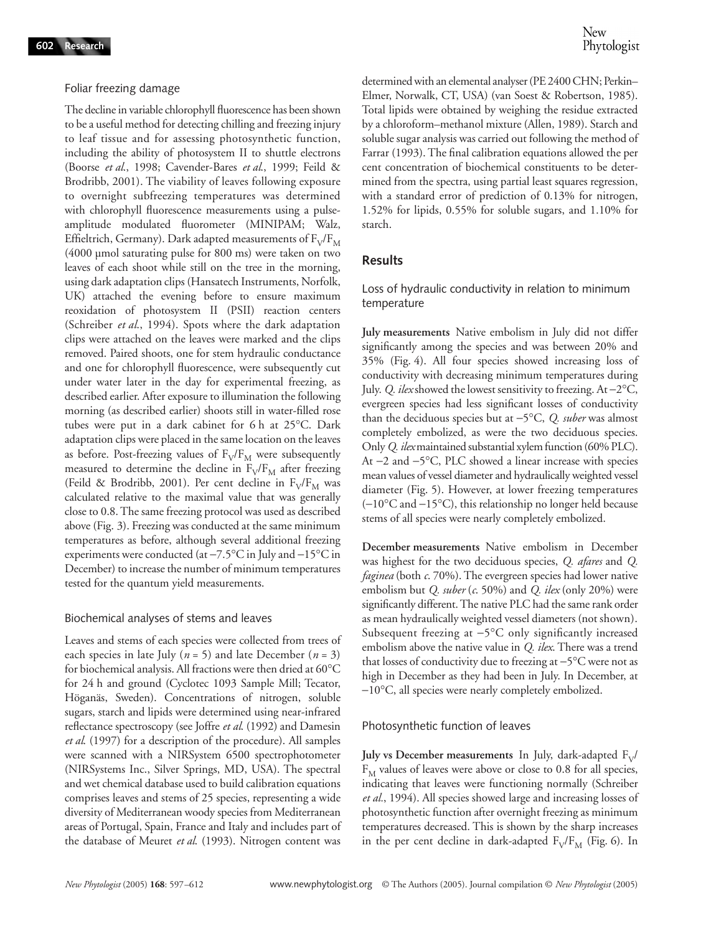### Foliar freezing damage

The decline in variable chlorophyll fluorescence has been shown to be a useful method for detecting chilling and freezing injury to leaf tissue and for assessing photosynthetic function, including the ability of photosystem II to shuttle electrons (Boorse *et al*., 1998; Cavender-Bares *et al*., 1999; Feild & Brodribb, 2001). The viability of leaves following exposure to overnight subfreezing temperatures was determined with chlorophyll fluorescence measurements using a pulseamplitude modulated fluorometer (MINIPAM; Walz, Effieltrich, Germany). Dark adapted measurements of  $F_V/F_M$ (4000 µmol saturating pulse for 800 ms) were taken on two leaves of each shoot while still on the tree in the morning, using dark adaptation clips (Hansatech Instruments, Norfolk, UK) attached the evening before to ensure maximum reoxidation of photosystem II (PSII) reaction centers (Schreiber *et al*., 1994). Spots where the dark adaptation clips were attached on the leaves were marked and the clips removed. Paired shoots, one for stem hydraulic conductance and one for chlorophyll fluorescence, were subsequently cut under water later in the day for experimental freezing, as described earlier. After exposure to illumination the following morning (as described earlier) shoots still in water-filled rose tubes were put in a dark cabinet for 6 h at 25°C. Dark adaptation clips were placed in the same location on the leaves as before. Post-freezing values of  $F_V/F_M$  were subsequently measured to determine the decline in  $F_V/F_M$  after freezing (Feild & Brodribb, 2001). Per cent decline in  $F_V/F_M$  was calculated relative to the maximal value that was generally close to 0.8. The same freezing protocol was used as described above (Fig. 3). Freezing was conducted at the same minimum temperatures as before, although several additional freezing experiments were conducted (at −7.5°C in July and −15°C in December) to increase the number of minimum temperatures tested for the quantum yield measurements.

### Biochemical analyses of stems and leaves

Leaves and stems of each species were collected from trees of each species in late July ( $n = 5$ ) and late December ( $n = 3$ ) for biochemical analysis. All fractions were then dried at 60°C for 24 h and ground (Cyclotec 1093 Sample Mill; Tecator, Höganäs, Sweden). Concentrations of nitrogen, soluble sugars, starch and lipids were determined using near-infrared reflectance spectroscopy (see Joffre *et al*. (1992) and Damesin *et al*. (1997) for a description of the procedure). All samples were scanned with a NIRSystem 6500 spectrophotometer (NIRSystems Inc., Silver Springs, MD, USA). The spectral and wet chemical database used to build calibration equations comprises leaves and stems of 25 species, representing a wide diversity of Mediterranean woody species from Mediterranean areas of Portugal, Spain, France and Italy and includes part of the database of Meuret *et al*. (1993). Nitrogen content was

determined with an elemental analyser (PE 2400 CHN; Perkin– Elmer, Norwalk, CT, USA) (van Soest & Robertson, 1985). Total lipids were obtained by weighing the residue extracted by a chloroform–methanol mixture (Allen, 1989). Starch and soluble sugar analysis was carried out following the method of Farrar (1993). The final calibration equations allowed the per cent concentration of biochemical constituents to be determined from the spectra, using partial least squares regression, with a standard error of prediction of 0.13% for nitrogen, 1.52% for lipids, 0.55% for soluble sugars, and 1.10% for starch.

# **Results**

Loss of hydraulic conductivity in relation to minimum temperature

**July measurements** Native embolism in July did not differ significantly among the species and was between 20% and 35% (Fig. 4). All four species showed increasing loss of conductivity with decreasing minimum temperatures during July. *Q. ilex* showed the lowest sensitivity to freezing. At −2°C, evergreen species had less significant losses of conductivity than the deciduous species but at −5°C, *Q. suber* was almost completely embolized, as were the two deciduous species. Only *Q. ilex*maintained substantial xylem function (60% PLC). At −2 and −5°C, PLC showed a linear increase with species mean values of vessel diameter and hydraulically weighted vessel diameter (Fig. 5). However, at lower freezing temperatures (−10°C and −15°C), this relationship no longer held because stems of all species were nearly completely embolized.

**December measurements** Native embolism in December was highest for the two deciduous species, *Q. afares* and *Q. faginea* (both *c*. 70%). The evergreen species had lower native embolism but *Q. suber* (*c*. 50%) and *Q. ilex* (only 20%) were significantly different. The native PLC had the same rank order as mean hydraulically weighted vessel diameters (not shown). Subsequent freezing at −5°C only significantly increased embolism above the native value in *Q. ilex*. There was a trend that losses of conductivity due to freezing at −5°C were not as high in December as they had been in July. In December, at −10°C, all species were nearly completely embolized.

### Photosynthetic function of leaves

**July vs December measurements** In July, dark-adapted  $F_V$ /  $F_M$  values of leaves were above or close to 0.8 for all species, indicating that leaves were functioning normally (Schreiber *et al.*, 1994). All species showed large and increasing losses of photosynthetic function after overnight freezing as minimum temperatures decreased. This is shown by the sharp increases in the per cent decline in dark-adapted  $F_V/F_M$  (Fig. 6). In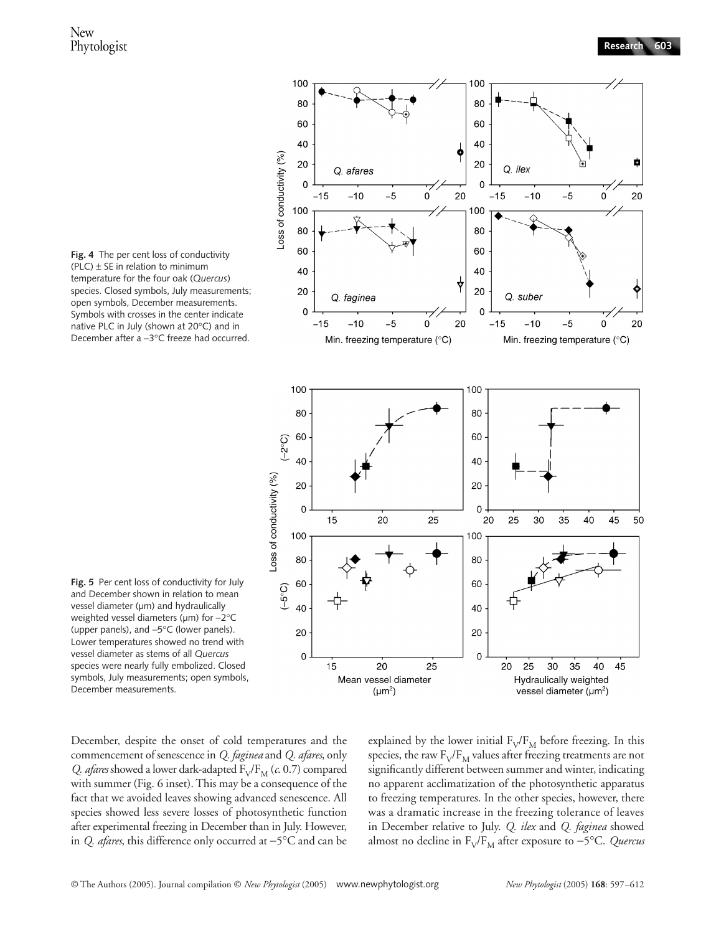

**Fig. 4** The per cent loss of conductivity (PLC)  $\pm$  SE in relation to minimum temperature for the four oak (*Quercus*) species. Closed symbols, July measurements; open symbols, December measurements. Symbols with crosses in the center indicate native PLC in July (shown at 20°C) and in December after a −3°C freeze had occurred.

**Fig. 5** Per cent loss of conductivity for July and December shown in relation to mean vessel diameter (µm) and hydraulically weighted vessel diameters (µm) for −2°C (upper panels), and −5°C (lower panels). Lower temperatures showed no trend with vessel diameter as stems of all *Quercus* species were nearly fully embolized. Closed symbols, July measurements; open symbols, December measurements.

December, despite the onset of cold temperatures and the commencement of senescence in *Q. faginea* and *Q. afares*, only *Q. afares* showed a lower dark-adapted  $F_V/F_M$  (*c*. 0.7) compared with summer (Fig. 6 inset). This may be a consequence of the fact that we avoided leaves showing advanced senescence. All species showed less severe losses of photosynthetic function after experimental freezing in December than in July. However, in *Q. afares*, this difference only occurred at −5°C and can be explained by the lower initial  $F_V/F_M$  before freezing. In this species, the raw  $F_V/F_M$  values after freezing treatments are not significantly different between summer and winter, indicating no apparent acclimatization of the photosynthetic apparatus to freezing temperatures. In the other species, however, there was a dramatic increase in the freezing tolerance of leaves in December relative to July. *Q. ilex* and *Q. faginea* showed almost no decline in F<sub>V</sub>/F<sub>M</sub> after exposure to −5°C. *Quercus*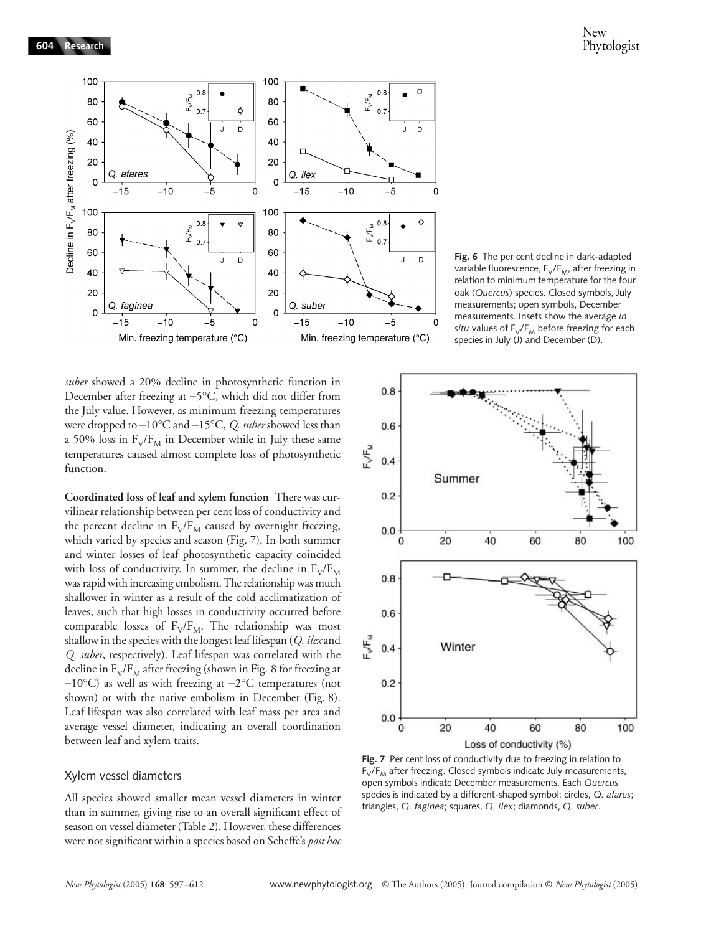

*suber* showed a 20% decline in photosynthetic function in December after freezing at −5°C, which did not differ from the July value. However, as minimum freezing temperatures were dropped to −10°C and −15°C, *Q. suber* showed less than a 50% loss in  $F_V/F_M$  in December while in July these same temperatures caused almost complete loss of photosynthetic function.

**Coordinated loss of leaf and xylem function** There was curvilinear relationship between per cent loss of conductivity and the percent decline in  $F_V/F_M$  caused by overnight freezing, which varied by species and season (Fig. 7). In both summer and winter losses of leaf photosynthetic capacity coincided with loss of conductivity. In summer, the decline in  $F_V/F_M$ was rapid with increasing embolism. The relationship was much shallower in winter as a result of the cold acclimatization of leaves, such that high losses in conductivity occurred before comparable losses of  $F_V/F_M$ . The relationship was most shallow in the species with the longest leaf lifespan (*Q. ilex* and *Q. suber*, respectively). Leaf lifespan was correlated with the decline in  $F_V/F_M$  after freezing (shown in Fig. 8 for freezing at −10°C) as well as with freezing at −2°C temperatures (not shown) or with the native embolism in December (Fig. 8). Leaf lifespan was also correlated with leaf mass per area and average vessel diameter, indicating an overall coordination between leaf and xylem traits.

#### Xylem vessel diameters

All species showed smaller mean vessel diameters in winter than in summer, giving rise to an overall significant effect of season on vessel diameter (Table 2). However, these differences were not significant within a species based on Scheffe's *post hoc*

**Fig. 6** The per cent decline in dark-adapted variable fluorescence,  $F_V/F_{M}$ , after freezing in relation to minimum temperature for the four oak (*Quercus*) species. Closed symbols, July measurements; open symbols, December measurements. Insets show the average *in*   $situ$  values of  $F_V/F_M$  before freezing for each species in July (J) and December (D).



Fig. 7 Per cent loss of conductivity due to freezing in relation to  $F_V/F_M$  after freezing. Closed symbols indicate July measurements, open symbols indicate December measurements. Each *Quercus* species is indicated by a different-shaped symbol: circles, *Q. afares*; triangles, *Q. faginea*; squares, *Q. ilex*; diamonds, *Q. suber*.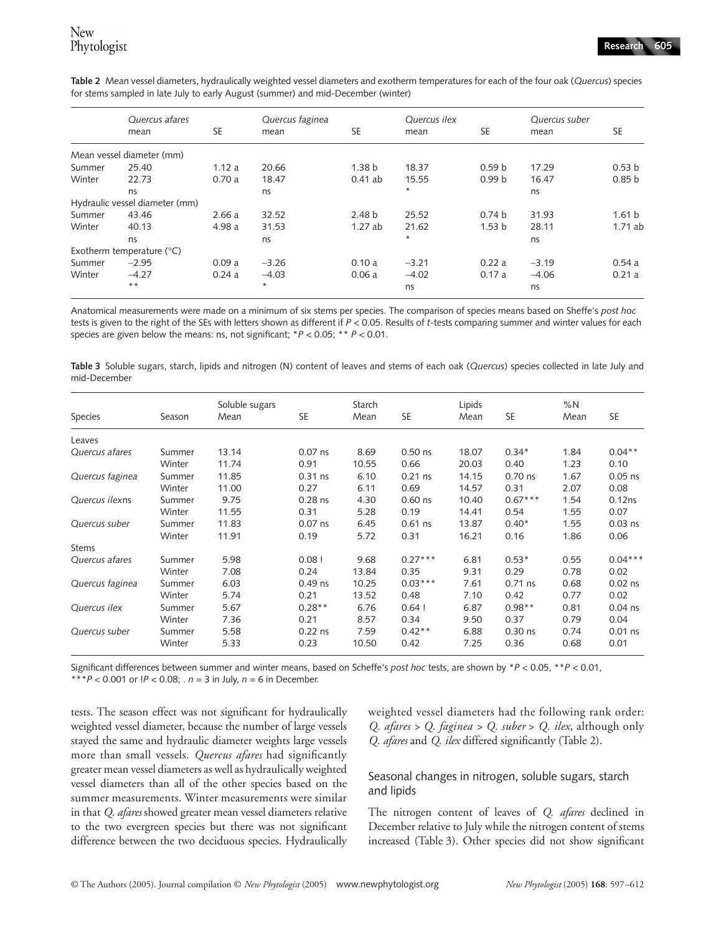|        | Quercus afares                     |           | Quercus faginea |                   | Quercus ilex |                   | Quercus suber |                   |
|--------|------------------------------------|-----------|-----------------|-------------------|--------------|-------------------|---------------|-------------------|
|        | mean                               | <b>SE</b> | mean            | <b>SE</b>         | mean         | <b>SE</b>         | mean          | <b>SE</b>         |
|        | Mean vessel diameter (mm)          |           |                 |                   |              |                   |               |                   |
| Summer | 25.40                              | 1.12a     | 20.66           | 1.38 <sub>b</sub> | 18.37        | 0.59 <sub>b</sub> | 17.29         | 0.53 <sub>b</sub> |
| Winter | 22.73                              | 0.70a     | 18.47           | $0.41$ ab         | 15.55        | 0.99 <sub>b</sub> | 16.47         | 0.85 <sub>b</sub> |
|        | ns                                 |           | ns              |                   | $*$          |                   | ns            |                   |
|        | Hydraulic vessel diameter (mm)     |           |                 |                   |              |                   |               |                   |
| Summer | 43.46                              | 2.66a     | 32.52           | 2.48 <sub>b</sub> | 25.52        | 0.74 <sub>b</sub> | 31.93         | 1.61 <sub>b</sub> |
| Winter | 40.13                              | 4.98 a    | 31.53           | 1.27ab            | 21.62        | 1.53 <sub>b</sub> | 28.11         | 1.71ab            |
|        | ns                                 |           | ns              |                   | $*$          |                   | ns            |                   |
|        | Exotherm temperature $(^{\circ}C)$ |           |                 |                   |              |                   |               |                   |
| Summer | $-2.95$                            | 0.09a     | $-3.26$         | 0.10a             | $-3.21$      | 0.22a             | $-3.19$       | 0.54a             |
| Winter | $-4.27$                            | 0.24a     | $-4.03$         | 0.06a             | $-4.02$      | 0.17a             | $-4.06$       | 0.21a             |
|        | $***$                              |           | $*$             |                   | ns           |                   | ns            |                   |

**Table 2** Mean vessel diameters, hydraulically weighted vessel diameters and exotherm temperatures for each of the four oak (*Quercus*) species for stems sampled in late July to early August (summer) and mid-December (winter)

Anatomical measurements were made on a minimum of six stems per species. The comparison of species means based on Sheffe's *post hoc* tests is given to the right of the SEs with letters shown as different if *P* < 0.05. Results of *t*-tests comparing summer and winter values for each species are given below the means: ns, not significant; \**P* < 0.05; \*\* *P* < 0.01.

**Table 3** Soluble sugars, starch, lipids and nitrogen (N) content of leaves and stems of each oak (*Quercus*) species collected in late July and mid-December

|                 |        | Soluble sugars |           | Starch |           | Lipids |           | %N   |           |
|-----------------|--------|----------------|-----------|--------|-----------|--------|-----------|------|-----------|
| Species         | Season | Mean           | <b>SE</b> | Mean   | SE        | Mean   | <b>SE</b> | Mean | SE        |
| Leaves          |        |                |           |        |           |        |           |      |           |
| Quercus afares  | Summer | 13.14          | $0.07$ ns | 8.69   | $0.50$ ns | 18.07  | $0.34*$   | 1.84 | $0.04$ ** |
|                 | Winter | 11.74          | 0.91      | 10.55  | 0.66      | 20.03  | 0.40      | 1.23 | 0.10      |
| Quercus faginea | Summer | 11.85          | $0.31$ ns | 6.10   | $0.21$ ns | 14.15  | $0.70$ ns | 1.67 | $0.05$ ns |
|                 | Winter | 11.00          | 0.27      | 6.11   | 0.69      | 14.57  | 0.31      | 2.07 | 0.08      |
| Quercus ilexns  | Summer | 9.75           | $0.28$ ns | 4.30   | $0.60$ ns | 10.40  | $0.67***$ | 1.54 | 0.12ns    |
|                 | Winter | 11.55          | 0.31      | 5.28   | 0.19      | 14.41  | 0.54      | 1.55 | 0.07      |
| Quercus suber   | Summer | 11.83          | $0.07$ ns | 6.45   | $0.61$ ns | 13.87  | $0.40*$   | 1.55 | $0.03$ ns |
|                 | Winter | 11.91          | 0.19      | 5.72   | 0.31      | 16.21  | 0.16      | 1.86 | 0.06      |
| <b>Stems</b>    |        |                |           |        |           |        |           |      |           |
| Quercus afares  | Summer | 5.98           | 0.08!     | 9.68   | $0.27***$ | 6.81   | $0.53*$   | 0.55 | $0.04***$ |
|                 | Winter | 7.08           | 0.24      | 13.84  | 0.35      | 9.31   | 0.29      | 0.78 | 0.02      |
| Quercus faginea | Summer | 6.03           | $0.49$ ns | 10.25  | $0.03***$ | 7.61   | $0.71$ ns | 0.68 | $0.02$ ns |
|                 | Winter | 5.74           | 0.21      | 13.52  | 0.48      | 7.10   | 0.42      | 0.77 | 0.02      |
| Quercus ilex    | Summer | 5.67           | $0.28**$  | 6.76   | 0.64!     | 6.87   | $0.98**$  | 0.81 | $0.04$ ns |
|                 | Winter | 7.36           | 0.21      | 8.57   | 0.34      | 9.50   | 0.37      | 0.79 | 0.04      |
| Quercus suber   | Summer | 5.58           | $0.22$ ns | 7.59   | $0.42**$  | 6.88   | $0.30$ ns | 0.74 | $0.01$ ns |
|                 | Winter | 5.33           | 0.23      | 10.50  | 0.42      | 7.25   | 0.36      | 0.68 | 0.01      |

Significant differences between summer and winter means, based on Scheffe's *post hoc* tests, are shown by \**P* < 0.05, \*\**P* < 0.01, \*\*\**P* < 0.001 or  $!P$  < 0.08; . *n* = 3 in July, *n* = 6 in December.

tests. The season effect was not significant for hydraulically weighted vessel diameter, because the number of large vessels stayed the same and hydraulic diameter weights large vessels more than small vessels. *Quercus afares* had significantly greater mean vessel diameters as well as hydraulically weighted vessel diameters than all of the other species based on the summer measurements. Winter measurements were similar in that *Q. afares* showed greater mean vessel diameters relative to the two evergreen species but there was not significant difference between the two deciduous species. Hydraulically

weighted vessel diameters had the following rank order: *Q. afares > Q. faginea > Q. suber* > *Q. ilex*, although only *Q. afares* and *Q. ilex* differed significantly (Table 2).

# Seasonal changes in nitrogen, soluble sugars, starch and lipids

The nitrogen content of leaves of *Q. afares* declined in December relative to July while the nitrogen content of stems increased (Table 3). Other species did not show significant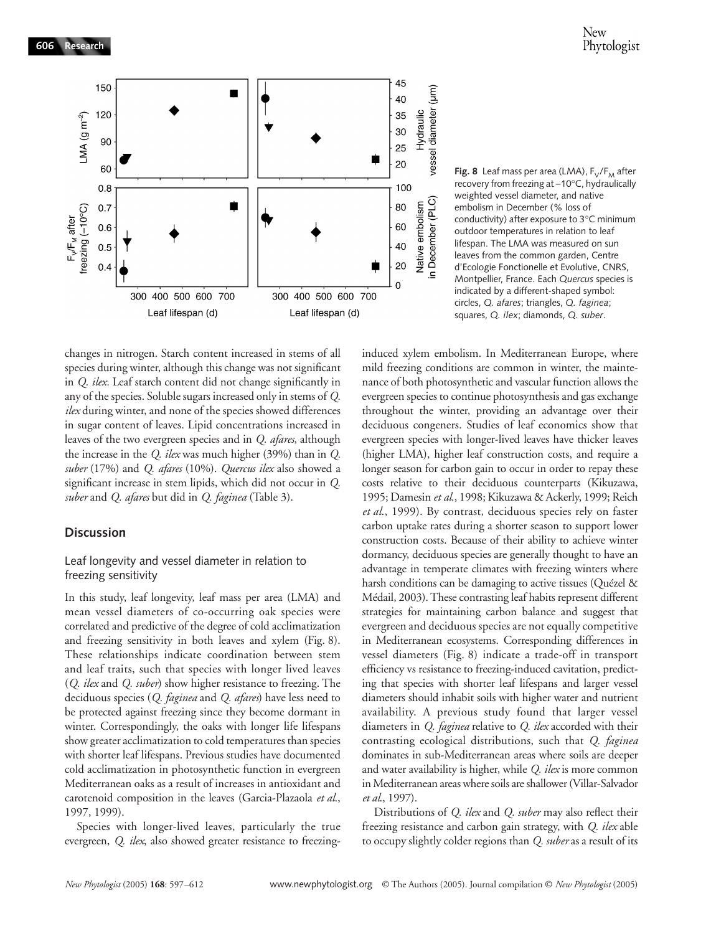**606 Research**





changes in nitrogen. Starch content increased in stems of all species during winter, although this change was not significant in *Q. ilex.* Leaf starch content did not change significantly in any of the species. Soluble sugars increased only in stems of *Q. ilex* during winter, and none of the species showed differences in sugar content of leaves. Lipid concentrations increased in leaves of the two evergreen species and in *Q. afares*, although the increase in the *Q. ilex* was much higher (39%) than in *Q. suber* (17%) and *Q. afares* (10%). *Quercus ilex* also showed a significant increase in stem lipids, which did not occur in *Q. suber* and *Q. afares* but did in *Q. faginea* (Table 3).

# **Discussion**

# Leaf longevity and vessel diameter in relation to freezing sensitivity

In this study, leaf longevity, leaf mass per area (LMA) and mean vessel diameters of co-occurring oak species were correlated and predictive of the degree of cold acclimatization and freezing sensitivity in both leaves and xylem (Fig. 8). These relationships indicate coordination between stem and leaf traits, such that species with longer lived leaves (*Q. ilex* and *Q. suber*) show higher resistance to freezing. The deciduous species (*Q. faginea* and *Q. afares*) have less need to be protected against freezing since they become dormant in winter. Correspondingly, the oaks with longer life lifespans show greater acclimatization to cold temperatures than species with shorter leaf lifespans. Previous studies have documented cold acclimatization in photosynthetic function in evergreen Mediterranean oaks as a result of increases in antioxidant and carotenoid composition in the leaves (Garcia-Plazaola *et al*., 1997, 1999).

Species with longer-lived leaves, particularly the true evergreen, *Q. ilex*, also showed greater resistance to freezinginduced xylem embolism. In Mediterranean Europe, where mild freezing conditions are common in winter, the maintenance of both photosynthetic and vascular function allows the evergreen species to continue photosynthesis and gas exchange throughout the winter, providing an advantage over their deciduous congeners. Studies of leaf economics show that evergreen species with longer-lived leaves have thicker leaves (higher LMA), higher leaf construction costs, and require a longer season for carbon gain to occur in order to repay these costs relative to their deciduous counterparts (Kikuzawa, 1995; Damesin *et al*., 1998; Kikuzawa & Ackerly, 1999; Reich *et al*., 1999). By contrast, deciduous species rely on faster carbon uptake rates during a shorter season to support lower construction costs. Because of their ability to achieve winter dormancy, deciduous species are generally thought to have an advantage in temperate climates with freezing winters where harsh conditions can be damaging to active tissues (Quézel & Médail, 2003). These contrasting leaf habits represent different strategies for maintaining carbon balance and suggest that evergreen and deciduous species are not equally competitive in Mediterranean ecosystems. Corresponding differences in vessel diameters (Fig. 8) indicate a trade-off in transport efficiency vs resistance to freezing-induced cavitation, predicting that species with shorter leaf lifespans and larger vessel diameters should inhabit soils with higher water and nutrient availability. A previous study found that larger vessel diameters in *Q. faginea* relative to *Q. ilex* accorded with their contrasting ecological distributions, such that *Q. faginea* dominates in sub-Mediterranean areas where soils are deeper and water availability is higher, while *Q. ilex* is more common in Mediterranean areas where soils are shallower (Villar-Salvador *et al*., 1997).

Distributions of *Q. ilex* and *Q. suber* may also reflect their freezing resistance and carbon gain strategy, with *Q. ilex* able to occupy slightly colder regions than *Q. suber* as a result of its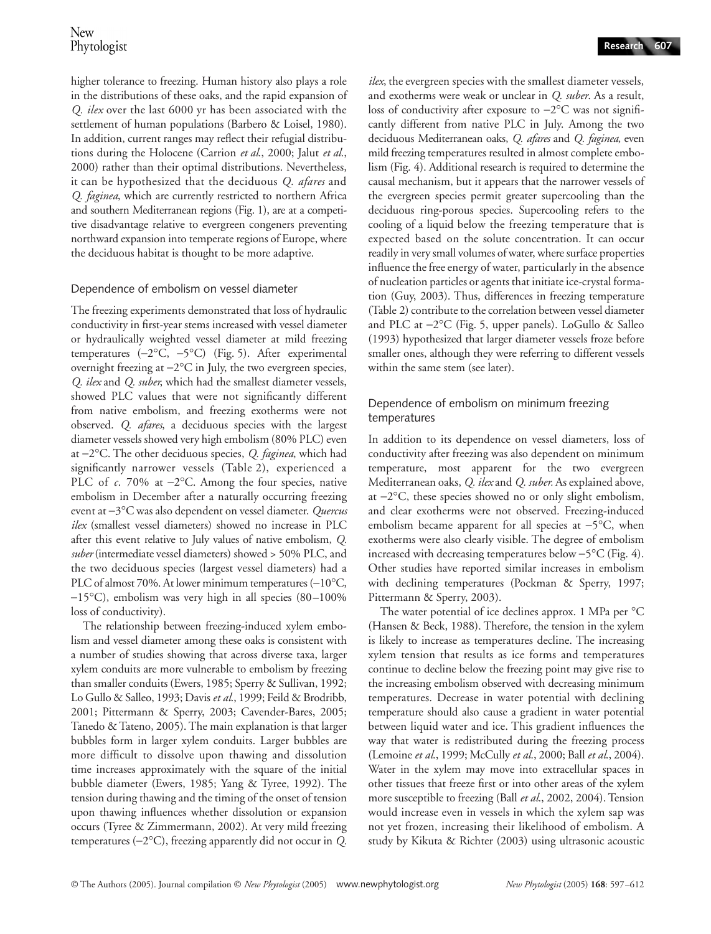higher tolerance to freezing. Human history also plays a role in the distributions of these oaks, and the rapid expansion of *Q. ilex* over the last 6000 yr has been associated with the settlement of human populations (Barbero & Loisel, 1980). In addition, current ranges may reflect their refugial distributions during the Holocene (Carrion *et al*., 2000; Jalut *et al*., 2000) rather than their optimal distributions. Nevertheless, it can be hypothesized that the deciduous *Q. afares* and *Q. faginea*, which are currently restricted to northern Africa and southern Mediterranean regions (Fig. 1), are at a competitive disadvantage relative to evergreen congeners preventing northward expansion into temperate regions of Europe, where the deciduous habitat is thought to be more adaptive.

# Dependence of embolism on vessel diameter

The freezing experiments demonstrated that loss of hydraulic conductivity in first-year stems increased with vessel diameter or hydraulically weighted vessel diameter at mild freezing temperatures (−2°C, −5°C) (Fig. 5). After experimental overnight freezing at −2°C in July, the two evergreen species, *Q. ilex* and *Q. suber*, which had the smallest diameter vessels, showed PLC values that were not significantly different from native embolism, and freezing exotherms were not observed. *Q. afares*, a deciduous species with the largest diameter vessels showed very high embolism (80% PLC) even at −2°C. The other deciduous species, *Q. faginea*, which had significantly narrower vessels (Table 2), experienced a PLC of *c*. 70% at −2°C. Among the four species, native embolism in December after a naturally occurring freezing event at −3°C was also dependent on vessel diameter. *Quercus ilex* (smallest vessel diameters) showed no increase in PLC after this event relative to July values of native embolism, *Q. suber* (intermediate vessel diameters) showed > 50% PLC, and the two deciduous species (largest vessel diameters) had a PLC of almost 70%. At lower minimum temperatures (−10°C, −15°C), embolism was very high in all species (80–100% loss of conductivity).

The relationship between freezing-induced xylem embolism and vessel diameter among these oaks is consistent with a number of studies showing that across diverse taxa, larger xylem conduits are more vulnerable to embolism by freezing than smaller conduits (Ewers, 1985; Sperry & Sullivan, 1992; Lo Gullo & Salleo, 1993; Davis *et al*., 1999; Feild & Brodribb, 2001; Pittermann & Sperry, 2003; Cavender-Bares, 2005; Tanedo & Tateno, 2005). The main explanation is that larger bubbles form in larger xylem conduits. Larger bubbles are more difficult to dissolve upon thawing and dissolution time increases approximately with the square of the initial bubble diameter (Ewers, 1985; Yang & Tyree, 1992). The tension during thawing and the timing of the onset of tension upon thawing influences whether dissolution or expansion occurs (Tyree & Zimmermann, 2002). At very mild freezing temperatures (−2°C), freezing apparently did not occur in *Q.*

*ilex*, the evergreen species with the smallest diameter vessels, and exotherms were weak or unclear in *Q. suber*. As a result, loss of conductivity after exposure to −2°C was not significantly different from native PLC in July. Among the two deciduous Mediterranean oaks, *Q. afares* and *Q. faginea*, even mild freezing temperatures resulted in almost complete embolism (Fig. 4). Additional research is required to determine the causal mechanism, but it appears that the narrower vessels of the evergreen species permit greater supercooling than the deciduous ring-porous species. Supercooling refers to the cooling of a liquid below the freezing temperature that is expected based on the solute concentration. It can occur readily in very small volumes of water, where surface properties influence the free energy of water, particularly in the absence of nucleation particles or agents that initiate ice-crystal formation (Guy, 2003). Thus, differences in freezing temperature (Table 2) contribute to the correlation between vessel diameter and PLC at −2°C (Fig. 5, upper panels). LoGullo & Salleo (1993) hypothesized that larger diameter vessels froze before smaller ones, although they were referring to different vessels within the same stem (see later).

# Dependence of embolism on minimum freezing temperatures

In addition to its dependence on vessel diameters, loss of conductivity after freezing was also dependent on minimum temperature, most apparent for the two evergreen Mediterranean oaks, *Q. ilex* and *Q. suber.* As explained above, at −2°C, these species showed no or only slight embolism, and clear exotherms were not observed. Freezing-induced embolism became apparent for all species at −5°C, when exotherms were also clearly visible. The degree of embolism increased with decreasing temperatures below −5°C (Fig. 4). Other studies have reported similar increases in embolism with declining temperatures (Pockman & Sperry, 1997; Pittermann & Sperry, 2003).

The water potential of ice declines approx. 1 MPa per °C (Hansen & Beck, 1988). Therefore, the tension in the xylem is likely to increase as temperatures decline. The increasing xylem tension that results as ice forms and temperatures continue to decline below the freezing point may give rise to the increasing embolism observed with decreasing minimum temperatures. Decrease in water potential with declining temperature should also cause a gradient in water potential between liquid water and ice. This gradient influences the way that water is redistributed during the freezing process (Lemoine *et al*., 1999; McCully *et al*., 2000; Ball *et al*., 2004). Water in the xylem may move into extracellular spaces in other tissues that freeze first or into other areas of the xylem more susceptible to freezing (Ball *et al*., 2002, 2004). Tension would increase even in vessels in which the xylem sap was not yet frozen, increasing their likelihood of embolism. A study by Kikuta & Richter (2003) using ultrasonic acoustic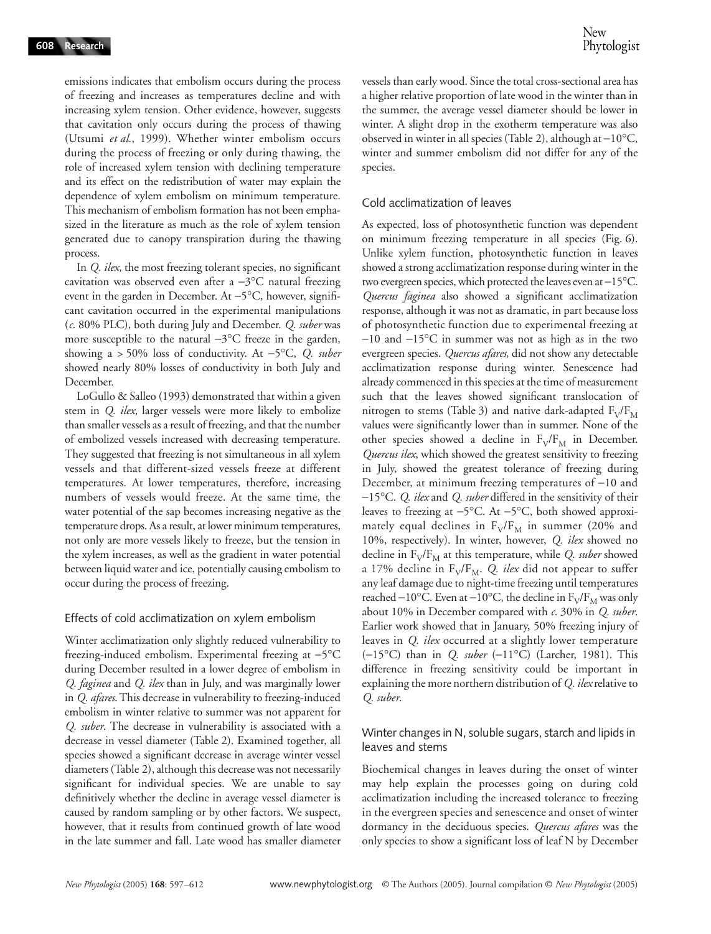emissions indicates that embolism occurs during the process of freezing and increases as temperatures decline and with increasing xylem tension. Other evidence, however, suggests that cavitation only occurs during the process of thawing (Utsumi *et al*., 1999). Whether winter embolism occurs during the process of freezing or only during thawing, the role of increased xylem tension with declining temperature and its effect on the redistribution of water may explain the dependence of xylem embolism on minimum temperature. This mechanism of embolism formation has not been emphasized in the literature as much as the role of xylem tension generated due to canopy transpiration during the thawing process.

In *Q. ilex*, the most freezing tolerant species, no significant cavitation was observed even after a −3°C natural freezing event in the garden in December. At −5°C, however, significant cavitation occurred in the experimental manipulations (*c*. 80% PLC), both during July and December. *Q. suber* was more susceptible to the natural −3°C freeze in the garden, showing a > 50% loss of conductivity. At −5°C, *Q. suber* showed nearly 80% losses of conductivity in both July and December.

LoGullo & Salleo (1993) demonstrated that within a given stem in *Q. ilex*, larger vessels were more likely to embolize than smaller vessels as a result of freezing, and that the number of embolized vessels increased with decreasing temperature. They suggested that freezing is not simultaneous in all xylem vessels and that different-sized vessels freeze at different temperatures. At lower temperatures, therefore, increasing numbers of vessels would freeze. At the same time, the water potential of the sap becomes increasing negative as the temperature drops. As a result, at lower minimum temperatures, not only are more vessels likely to freeze, but the tension in the xylem increases, as well as the gradient in water potential between liquid water and ice, potentially causing embolism to occur during the process of freezing.

### Effects of cold acclimatization on xylem embolism

Winter acclimatization only slightly reduced vulnerability to freezing-induced embolism. Experimental freezing at −5°C during December resulted in a lower degree of embolism in *Q. faginea* and *Q. ilex* than in July, and was marginally lower in *Q. afares*. This decrease in vulnerability to freezing-induced embolism in winter relative to summer was not apparent for *Q. suber*. The decrease in vulnerability is associated with a decrease in vessel diameter (Table 2). Examined together, all species showed a significant decrease in average winter vessel diameters (Table 2), although this decrease was not necessarily significant for individual species. We are unable to say definitively whether the decline in average vessel diameter is caused by random sampling or by other factors. We suspect, however, that it results from continued growth of late wood in the late summer and fall. Late wood has smaller diameter

vessels than early wood. Since the total cross-sectional area has a higher relative proportion of late wood in the winter than in the summer, the average vessel diameter should be lower in winter. A slight drop in the exotherm temperature was also observed in winter in all species (Table 2), although at −10°C, winter and summer embolism did not differ for any of the species.

### Cold acclimatization of leaves

As expected, loss of photosynthetic function was dependent on minimum freezing temperature in all species (Fig. 6). Unlike xylem function, photosynthetic function in leaves showed a strong acclimatization response during winter in the two evergreen species, which protected the leaves even at −15°C. *Quercus faginea* also showed a significant acclimatization response, although it was not as dramatic, in part because loss of photosynthetic function due to experimental freezing at −10 and −15°C in summer was not as high as in the two evergreen species. *Quercus afares*, did not show any detectable acclimatization response during winter. Senescence had already commenced in this species at the time of measurement such that the leaves showed significant translocation of nitrogen to stems (Table 3) and native dark-adapted  $F_V/F_M$ values were significantly lower than in summer. None of the other species showed a decline in  $F_V/F_M$  in December. *Quercus ilex*, which showed the greatest sensitivity to freezing in July, showed the greatest tolerance of freezing during December, at minimum freezing temperatures of −10 and −15°C. *Q. ilex* and *Q. suber* differed in the sensitivity of their leaves to freezing at −5°C. At −5°C, both showed approximately equal declines in  $F_V/F_M$  in summer (20% and 10%, respectively). In winter, however, *Q. ilex* showed no decline in  $F_V/F_M$  at this temperature, while *Q. suber* showed a 17% decline in F<sub>V</sub>/F<sub>M</sub>. *Q. ilex* did not appear to suffer any leaf damage due to night-time freezing until temperatures reached −10°C. Even at −10°C, the decline in  $F_V/F_M$  was only about 10% in December compared with *c*. 30% in *Q. suber*. Earlier work showed that in January, 50% freezing injury of leaves in *Q. ilex* occurred at a slightly lower temperature (−15°C) than in *Q. suber* (−11°C) (Larcher, 1981). This difference in freezing sensitivity could be important in explaining the more northern distribution of *Q. ilex* relative to *Q. suber*.

### Winter changes in N, soluble sugars, starch and lipids in leaves and stems

Biochemical changes in leaves during the onset of winter may help explain the processes going on during cold acclimatization including the increased tolerance to freezing in the evergreen species and senescence and onset of winter dormancy in the deciduous species. *Quercus afares* was the only species to show a significant loss of leaf N by December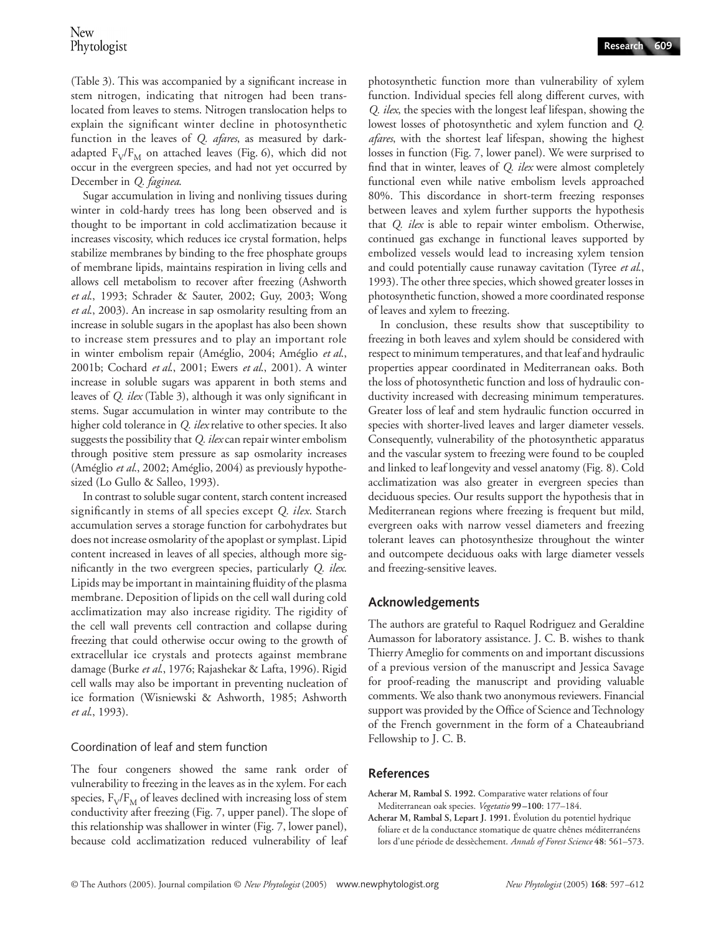(Table 3). This was accompanied by a significant increase in stem nitrogen, indicating that nitrogen had been translocated from leaves to stems. Nitrogen translocation helps to explain the significant winter decline in photosynthetic function in the leaves of *Q. afares*, as measured by darkadapted  $F_V/F_M$  on attached leaves (Fig. 6), which did not occur in the evergreen species, and had not yet occurred by December in *Q. faginea*.

Sugar accumulation in living and nonliving tissues during winter in cold-hardy trees has long been observed and is thought to be important in cold acclimatization because it increases viscosity, which reduces ice crystal formation, helps stabilize membranes by binding to the free phosphate groups of membrane lipids, maintains respiration in living cells and allows cell metabolism to recover after freezing (Ashworth *et al*., 1993; Schrader & Sauter, 2002; Guy, 2003; Wong *et al*., 2003). An increase in sap osmolarity resulting from an increase in soluble sugars in the apoplast has also been shown to increase stem pressures and to play an important role in winter embolism repair (Améglio, 2004; Améglio *et al*., 2001b; Cochard *et al*., 2001; Ewers *et al*., 2001). A winter increase in soluble sugars was apparent in both stems and leaves of *Q. ilex* (Table 3), although it was only significant in stems. Sugar accumulation in winter may contribute to the higher cold tolerance in *Q. ilex* relative to other species. It also suggests the possibility that *Q. ilex* can repair winter embolism through positive stem pressure as sap osmolarity increases (Améglio *et al*., 2002; Améglio, 2004) as previously hypothesized (Lo Gullo & Salleo, 1993).

In contrast to soluble sugar content, starch content increased significantly in stems of all species except *Q. ilex*. Starch accumulation serves a storage function for carbohydrates but does not increase osmolarity of the apoplast or symplast. Lipid content increased in leaves of all species, although more significantly in the two evergreen species, particularly *Q. ilex*. Lipids may be important in maintaining fluidity of the plasma membrane. Deposition of lipids on the cell wall during cold acclimatization may also increase rigidity. The rigidity of the cell wall prevents cell contraction and collapse during freezing that could otherwise occur owing to the growth of extracellular ice crystals and protects against membrane damage (Burke *et al*., 1976; Rajashekar & Lafta, 1996). Rigid cell walls may also be important in preventing nucleation of ice formation (Wisniewski & Ashworth, 1985; Ashworth *et al*., 1993).

# Coordination of leaf and stem function

The four congeners showed the same rank order of vulnerability to freezing in the leaves as in the xylem. For each species,  $F_V/F_M$  of leaves declined with increasing loss of stem conductivity after freezing (Fig. 7, upper panel). The slope of this relationship was shallower in winter (Fig. 7, lower panel), because cold acclimatization reduced vulnerability of leaf

photosynthetic function more than vulnerability of xylem function. Individual species fell along different curves, with *Q. ilex*, the species with the longest leaf lifespan, showing the lowest losses of photosynthetic and xylem function and *Q. afares*, with the shortest leaf lifespan, showing the highest losses in function (Fig. 7, lower panel). We were surprised to find that in winter, leaves of *Q. ilex* were almost completely functional even while native embolism levels approached 80%. This discordance in short-term freezing responses between leaves and xylem further supports the hypothesis that *Q. ilex* is able to repair winter embolism. Otherwise, continued gas exchange in functional leaves supported by embolized vessels would lead to increasing xylem tension and could potentially cause runaway cavitation (Tyree *et al*., 1993). The other three species, which showed greater losses in photosynthetic function, showed a more coordinated response of leaves and xylem to freezing.

In conclusion, these results show that susceptibility to freezing in both leaves and xylem should be considered with respect to minimum temperatures, and that leaf and hydraulic properties appear coordinated in Mediterranean oaks. Both the loss of photosynthetic function and loss of hydraulic conductivity increased with decreasing minimum temperatures. Greater loss of leaf and stem hydraulic function occurred in species with shorter-lived leaves and larger diameter vessels. Consequently, vulnerability of the photosynthetic apparatus and the vascular system to freezing were found to be coupled and linked to leaf longevity and vessel anatomy (Fig. 8). Cold acclimatization was also greater in evergreen species than deciduous species. Our results support the hypothesis that in Mediterranean regions where freezing is frequent but mild, evergreen oaks with narrow vessel diameters and freezing tolerant leaves can photosynthesize throughout the winter and outcompete deciduous oaks with large diameter vessels and freezing-sensitive leaves.

# **Acknowledgements**

The authors are grateful to Raquel Rodriguez and Geraldine Aumasson for laboratory assistance. J. C. B. wishes to thank Thierry Ameglio for comments on and important discussions of a previous version of the manuscript and Jessica Savage for proof-reading the manuscript and providing valuable comments. We also thank two anonymous reviewers. Financial support was provided by the Office of Science and Technology of the French government in the form of a Chateaubriand Fellowship to J. C. B.

# **References**

- **Acherar M, Rambal S. 1992.** Comparative water relations of four Mediterranean oak species. *Vegetatio* **99–100**: 177–184.
- **Acherar M, Rambal S, Lepart J. 1991.** Évolution du potentiel hydrique foliare et de la conductance stomatique de quatre chênes méditerranéens lors d'une période de dessèchement. *Annals of Forest Science* **48**: 561–573.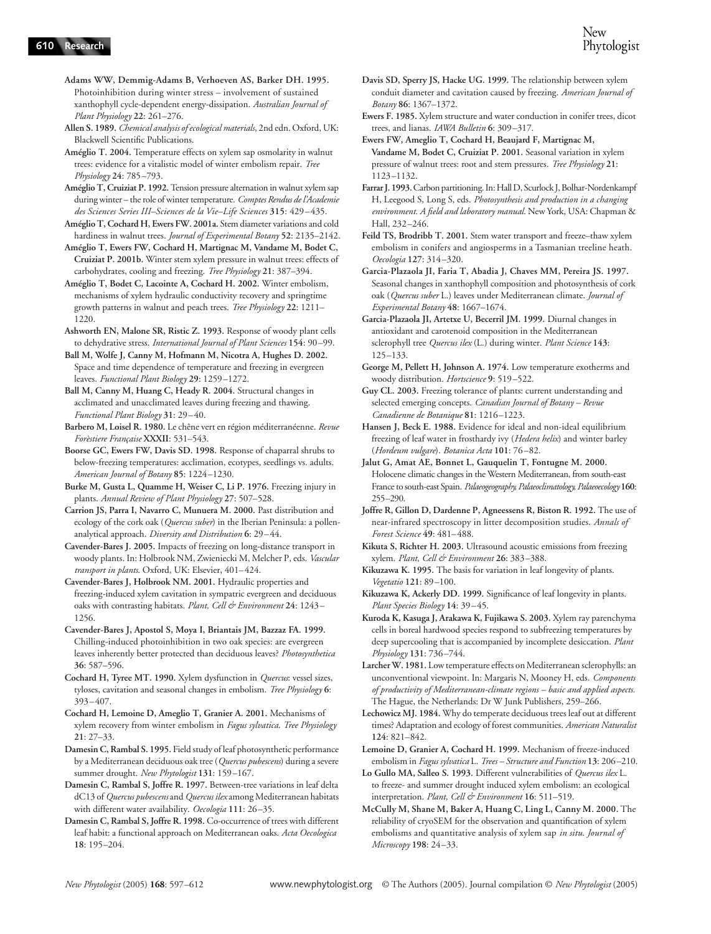- **Adams WW, Demmig-Adams B, Verhoeven AS, Barker DH. 1995.**  Photoinhibition during winter stress – involvement of sustained xanthophyll cycle-dependent energy-dissipation. *Australian Journal of Plant Physiology* **22**: 261–276.
- **Allen S. 1989.** *Chemical analysis of ecological materials*, 2nd edn. Oxford, UK: Blackwell Scientific Publications.
- **Améglio T. 2004.** Temperature effects on xylem sap osmolarity in walnut trees: evidence for a vitalistic model of winter embolism repair. *Tree Physiology* **24**: 785–793.
- **Améglio T, Cruiziat P. 1992.** Tension pressure alternation in walnut xylem sap during winter – the role of winter temperature. *Comptes Rendus de l'Academie des Sciences Series III–Sciences de la Vie–Life Sciences* **315**: 429–435.
- **Améglio T, Cochard H, Ewers FW. 2001a.** Stem diameter variations and cold hardiness in walnut trees. *Journal of Experimental Botany* **52**: 2135–2142.
- **Améglio T, Ewers FW, Cochard H, Martignac M, Vandame M, Bodet C, Cruiziat P. 2001b.** Winter stem xylem pressure in walnut trees: effects of carbohydrates, cooling and freezing. *Tree Physiology* **21**: 387–394.
- **Améglio T, Bodet C, Lacointe A, Cochard H. 2002.** Winter embolism, mechanisms of xylem hydraulic conductivity recovery and springtime growth patterns in walnut and peach trees. *Tree Physiology* **22**: 1211– 1220.
- **Ashworth EN, Malone SR, Ristic Z. 1993.** Response of woody plant cells to dehydrative stress. *International Journal of Plant Sciences* **154**: 90–99.
- **Ball M, Wolfe J, Canny M, Hofmann M, Nicotra A, Hughes D. 2002.**  Space and time dependence of temperature and freezing in evergreen leaves. *Functional Plant Biology* **29**: 1259–1272.
- **Ball M, Canny M, Huang C, Heady R. 2004.** Structural changes in acclimated and unacclimated leaves during freezing and thawing. *Functional Plant Biology* **31**: 29–40.
- **Barbero M, Loisel R. 1980.** Le chêne vert en région méditerranéenne. *Revue Forèstiere Française* **XXXII**: 531–543.
- **Boorse GC, Ewers FW, Davis SD. 1998.** Response of chaparral shrubs to below-freezing temperatures: acclimation, ecotypes, seedlings vs. adults. *American Journal of Botany* **85**: 1224–1230.
- **Burke M, Gusta L, Quamme H, Weiser C, Li P. 1976.** Freezing injury in plants. *Annual Review of Plant Physiology* **27**: 507–528.
- **Carrion JS, Parra I, Navarro C, Munuera M. 2000.** Past distribution and ecology of the cork oak (*Quercus suber*) in the Iberian Peninsula: a pollenanalytical approach. *Diversity and Distribution* **6**: 29–44.
- **Cavender-Bares J. 2005.** Impacts of freezing on long-distance transport in woody plants. In: Holbrook NM, Zwieniecki M, Melcher P, eds. *Vascular transport in plants*. Oxford, UK: Elsevier, 401–424.
- **Cavender-Bares J, Holbrook NM. 2001.** Hydraulic properties and freezing-induced xylem cavitation in sympatric evergreen and deciduous oaks with contrasting habitats. *Plant, Cell & Environment* **24**: 1243– 1256.
- **Cavender-Bares J, Apostol S, Moya I, Briantais JM, Bazzaz FA. 1999.**  Chilling-induced photoinhibition in two oak species: are evergreen leaves inherently better protected than deciduous leaves? *Photosynthetica* **36**: 587–596.
- **Cochard H, Tyree MT. 1990.** Xylem dysfunction in *Quercus*: vessel sizes, tyloses, cavitation and seasonal changes in embolism. *Tree Physiology* **6**: 393–407.
- **Cochard H, Lemoine D, Ameglio T, Granier A. 2001.** Mechanisms of xylem recovery from winter embolism in *Fagus sylvatica*. *Tree Physiology* **21**: 27–33.
- **Damesin C, Rambal S. 1995.** Field study of leaf photosynthetic performance by a Mediterranean deciduous oak tree (*Quercus pubescens*) during a severe summer drought. *New Phytologist* **131**: 159–167.
- **Damesin C, Rambal S, Joffre R. 1997.** Between-tree variations in leaf delta dC13 of *Quercus pubescens* and *Quercus ilex* among Mediterranean habitats with different water availability. *Oecologia* **111**: 26–35.
- **Damesin C, Rambal S, Joffre R. 1998.** Co-occurrence of trees with different leaf habit: a functional approach on Mediterranean oaks. *Acta Oecologica*  **18**: 195–204.
- **Davis SD, Sperry JS, Hacke UG. 1999.** The relationship between xylem conduit diameter and cavitation caused by freezing. *American Journal of Botany* **86**: 1367–1372.
- **Ewers F. 1985.** Xylem structure and water conduction in conifer trees, dicot trees, and lianas. *IAWA Bulletin* **6**: 309–317.
- **Ewers FW, Ameglio T, Cochard H, Beaujard F, Martignac M, Vandame M, Bodet C, Cruiziat P. 2001.** Seasonal variation in xylem pressure of walnut trees: root and stem pressures. *Tree Physiology* **21**: 1123–1132.
- **Farrar J. 1993.** Carbon partitioning. In: Hall D, Scurlock J, Bolhar-Nordenkampf H, Leegood S, Long S, eds. *Photosynthesis and production in a changing environment. A field and laboratory manual*. New York, USA: Chapman & Hall, 232–246.
- **Feild TS, Brodribb T. 2001.** Stem water transport and freeze–thaw xylem embolism in conifers and angiosperms in a Tasmanian treeline heath. *Oecologia* **127**: 314–320.
- **Garcia-Plazaola JI, Faria T, Abadia J, Chaves MM, Pereira JS. 1997.**  Seasonal changes in xanthophyll composition and photosynthesis of cork oak (*Quercus suber* L.) leaves under Mediterranean climate. *Journal of Experimental Botany* **48**: 1667–1674.
- **Garcia-Plazaola JI, Artetxe U, Becerril JM. 1999.** Diurnal changes in antioxidant and carotenoid composition in the Mediterranean sclerophyll tree *Quercus ilex* (L.) during winter. *Plant Science* **143**: 125–133.
- **George M, Pellett H, Johnson A. 1974.** Low temperature exotherms and woody distribution. *Hortscience* **9**: 519–522.
- **Guy CL. 2003.** Freezing tolerance of plants: current understanding and selected emerging concepts. *Canadian Journal of Botany – Revue Canadienne de Botanique* **81**: 1216–1223.
- **Hansen J, Beck E. 1988.** Evidence for ideal and non-ideal equilibrium freezing of leaf water in frosthardy ivy (*Hedera helix*) and winter barley (*Hordeum vulgare*). *Botanica Acta* **101**: 76–82.
- **Jalut G, Amat AE, Bonnet L, Gauquelin T, Fontugne M. 2000.**  Holocene climatic changes in the Western Mediterranean, from south-east France to south-east Spain. *Palaeogeography, Palaeoclimatology, Palaeoecology* **160**: 255–290.
- **Joffre R, Gillon D, Dardenne P, Agneessens R, Biston R. 1992.** The use of near-infrared spectroscopy in litter decomposition studies. *Annals of Forest Science* **49**: 481–488.
- **Kikuta S, Richter H. 2003.** Ultrasound acoustic emissions from freezing xylem. *Plant, Cell & Environment* **26**: 383–388.
- **Kikuzawa K. 1995.** The basis for variation in leaf longevity of plants. *Vegetatio* **121**: 89–100.
- **Kikuzawa K, Ackerly DD. 1999.** Significance of leaf longevity in plants. *Plant Species Biology* **14**: 39–45.
- **Kuroda K, Kasuga J, Arakawa K, Fujikawa S. 2003.** Xylem ray parenchyma cells in boreal hardwood species respond to subfreezing temperatures by deep supercooling that is accompanied by incomplete desiccation. *Plant Physiology* **131**: 736–744.
- **Larcher W. 1981.** Low temperature effects on Mediterranean sclerophylls: an unconventional viewpoint. In: Margaris N, Mooney H, eds. *Components of productivity of Mediterranean-climate regions – basic and applied aspects.* The Hague, the Netherlands: Dr W Junk Publishers, 259–266.
- **Lechowicz MJ. 1984.** Why do temperate deciduous trees leaf out at different times? Adaptation and ecology of forest communities. *American Naturalist* **124**: 821–842.
- **Lemoine D, Granier A, Cochard H. 1999.** Mechanism of freeze-induced embolism in *Fagus sylvatica* L. *Trees – Structure and Function* **13**: 206–210.
- **Lo Gullo MA, Salleo S. 1993.** Different vulnerabilities of *Quercus ilex* L. to freeze- and summer drought induced xylem embolism: an ecological interpretation. *Plant, Cell & Environment* **16**: 511–519.
- **McCully M, Shane M, Baker A, Huang C, Ling L, Canny M. 2000.** The reliability of cryoSEM for the observation and quantification of xylem embolisms and quantitative analysis of xylem sap *in situ*. *Journal of Microscopy* **198**: 24–33.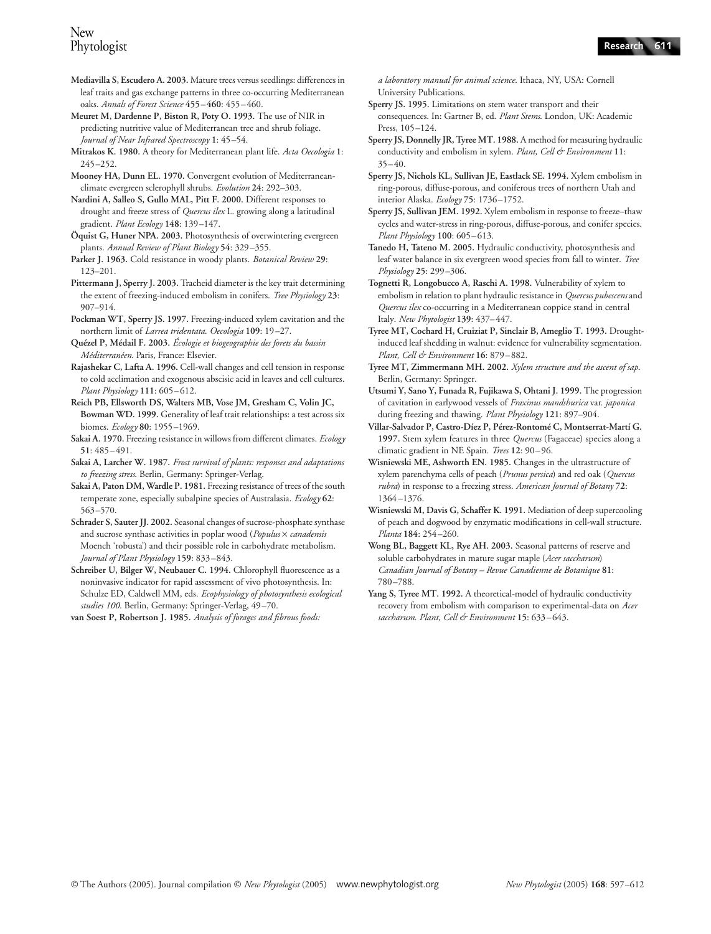- **Mediavilla S, Escudero A. 2003.** Mature trees versus seedlings: differences in leaf traits and gas exchange patterns in three co-occurring Mediterranean oaks. *Annals of Forest Science* **455–460**: 455–460.
- **Meuret M, Dardenne P, Biston R, Poty O. 1993.** The use of NIR in predicting nutritive value of Mediterranean tree and shrub foliage. *Journal of Near Infrared Spectroscopy* **1**: 45–54.
- **Mitrakos K. 1980.** A theory for Mediterranean plant life. *Acta Oecologia* **1**: 245–252.
- **Mooney HA, Dunn EL. 1970.** Convergent evolution of Mediterraneanclimate evergreen sclerophyll shrubs. *Evolution* **24**: 292–303.
- **Nardini A, Salleo S, Gullo MAL, Pitt F. 2000.** Different responses to drought and freeze stress of *Quercus ilex* L. growing along a latitudinal gradient. *Plant Ecology* **148**: 139–147.
- **Öquist G, Huner NPA. 2003.** Photosynthesis of overwintering evergreen plants. *Annual Review of Plant Biology* **54**: 329–355.
- **Parker J. 1963.** Cold resistance in woody plants. *Botanical Review* **29**: 123–201.
- **Pittermann J, Sperry J. 2003.** Tracheid diameter is the key trait determining the extent of freezing-induced embolism in conifers. *Tree Physiology* **23**: 907–914.
- **Pockman WT, Sperry JS. 1997.** Freezing-induced xylem cavitation and the northern limit of *Larrea tridentata*. *Oecologia* **109**: 19–27.
- **Quézel P, Médail F. 2003.** *Écologie et biogeographie des forets du bassin Méditerranéen*. Paris, France: Elsevier.
- **Rajashekar C, Lafta A. 1996.** Cell-wall changes and cell tension in response to cold acclimation and exogenous abscisic acid in leaves and cell cultures. *Plant Physiology* **111**: 605–612.
- **Reich PB, Ellsworth DS, Walters MB, Vose JM, Gresham C, Volin JC, Bowman WD. 1999.** Generality of leaf trait relationships: a test across six biomes. *Ecology* **80**: 1955–1969.
- **Sakai A. 1970.** Freezing resistance in willows from different climates. *Ecology* **51**: 485–491.
- **Sakai A, Larcher W. 1987.** *Frost survival of plants: responses and adaptations to freezing stress*. Berlin, Germany: Springer-Verlag.
- **Sakai A, Paton DM, Wardle P. 1981.** Freezing resistance of trees of the south temperate zone, especially subalpine species of Australasia. *Ecology* **62**: 563–570.
- **Schrader S, Sauter JJ. 2002.** Seasonal changes of sucrose-phosphate synthase and sucrose synthase activities in poplar wood (*Populus* × *canadensis* Moench 'robusta') and their possible role in carbohydrate metabolism. *Journal of Plant Physiology* **159**: 833–843.
- Schreiber U, Bilger W, Neubauer C. 1994. Chlorophyll fluorescence as a noninvasive indicator for rapid assessment of vivo photosynthesis. In: Schulze ED, Caldwell MM, eds. *Ecophysiology of photosynthesis ecological studies 100*. Berlin, Germany: Springer-Verlag, 49–70.
- **van Soest P, Robertson J. 1985.** *Analysis of forages and fibrous foods:*

*a laboratory manual for animal science*. Ithaca, NY, USA: Cornell University Publications.

- **Sperry JS. 1995.** Limitations on stem water transport and their consequences. In: Gartner B, ed. *Plant Stems*. London, UK: Academic Press, 105–124.
- **Sperry JS, Donnelly JR, Tyree MT. 1988.** A method for measuring hydraulic conductivity and embolism in xylem. *Plant, Cell & Environment* **11**:  $35 - 40.$
- **Sperry JS, Nichols KL, Sullivan JE, Eastlack SE. 1994.** Xylem embolism in ring-porous, diffuse-porous, and coniferous trees of northern Utah and interior Alaska. *Ecology* **75**: 1736–1752.
- **Sperry JS, Sullivan JEM. 1992.** Xylem embolism in response to freeze–thaw cycles and water-stress in ring-porous, diffuse-porous, and conifer species. *Plant Physiology* **100**: 605–613.
- **Tanedo H, Tateno M. 2005.** Hydraulic conductivity, photosynthesis and leaf water balance in six evergreen wood species from fall to winter. *Tree Physiology* **25**: 299–306.
- **Tognetti R, Longobucco A, Raschi A. 1998.** Vulnerability of xylem to embolism in relation to plant hydraulic resistance in *Quercus pubescens* and *Quercus ilex* co-occurring in a Mediterranean coppice stand in central Italy. *New Phytologist* **139**: 437–447.
- **Tyree MT, Cochard H, Cruiziat P, Sinclair B, Ameglio T. 1993.** Droughtinduced leaf shedding in walnut: evidence for vulnerability segmentation. *Plant, Cell & Environment* **16**: 879–882.
- **Tyree MT, Zimmermann MH. 2002.** *Xylem structure and the ascent of sap*. Berlin, Germany: Springer.
- **Utsumi Y, Sano Y, Funada R, Fujikawa S, Ohtani J. 1999.** The progression of cavitation in earlywood vessels of *Fraxinus mandshurica* var. *japonica* during freezing and thawing. *Plant Physiology* **121**: 897–904.
- **Villar-Salvador P, Castro-Díez P, Pérez-Rontomé C, Montserrat-Martí G. 1997.** Stem xylem features in three *Quercus* (Fagaceae) species along a climatic gradient in NE Spain. *Trees* **12**: 90–96.
- **Wisniewski ME, Ashworth EN. 1985.** Changes in the ultrastructure of xylem parenchyma cells of peach (*Prunus persica*) and red oak (*Quercus rubra*) in response to a freezing stress. *American Journal of Botany* **72**: 1364 –1376.
- **Wisniewski M, Davis G, Schaffer K. 1991.** Mediation of deep supercooling of peach and dogwood by enzymatic modifications in cell-wall structure. *Planta* **184**: 254–260.
- **Wong BL, Baggett KL, Rye AH. 2003.** Seasonal patterns of reserve and soluble carbohydrates in mature sugar maple (*Acer saccharum*) *Canadian Journal of Botany – Revue Canadienne de Botanique* **81**: 780–788.
- **Yang S, Tyree MT. 1992.** A theoretical-model of hydraulic conductivity recovery from embolism with comparison to experimental-data on *Acer saccharum*. *Plant, Cell & Environment* **15**: 633–643.